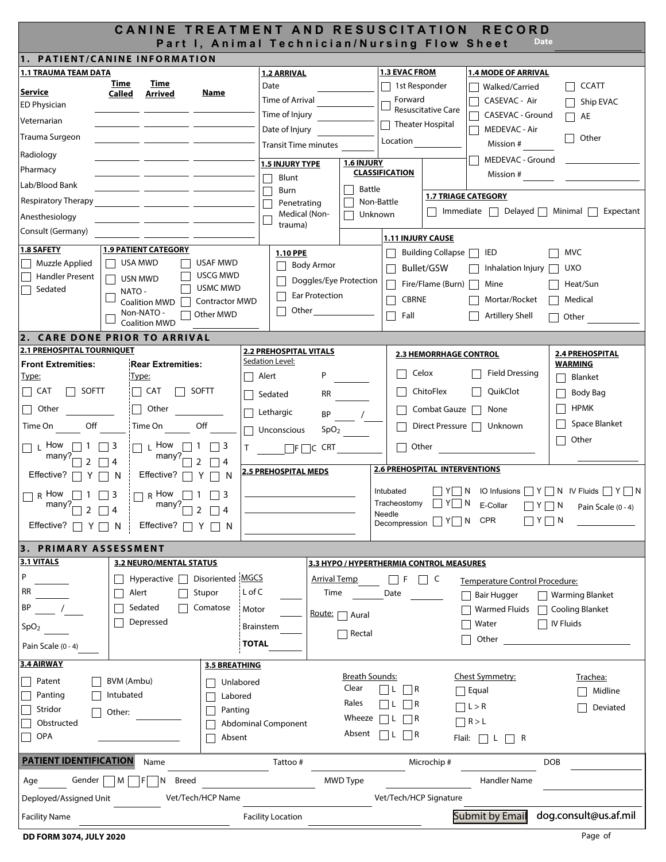| CANINE TREATMENT AND RESUSCITATION<br><b>RECORD</b><br><b>Date</b><br>Part I, Animal Technician/Nursing Flow Sheet |                                |                       |                                                  |                                                                                                                                                                                                                                          |                          |                                          |                                |                                                                          |
|--------------------------------------------------------------------------------------------------------------------|--------------------------------|-----------------------|--------------------------------------------------|------------------------------------------------------------------------------------------------------------------------------------------------------------------------------------------------------------------------------------------|--------------------------|------------------------------------------|--------------------------------|--------------------------------------------------------------------------|
| 1. PATIENT/CANINE INFORMATION                                                                                      |                                |                       |                                                  |                                                                                                                                                                                                                                          |                          |                                          |                                |                                                                          |
| <b>1.1 TRAUMA TEAM DATA</b>                                                                                        |                                |                       | <b>1.2 ARRIVAL</b>                               |                                                                                                                                                                                                                                          | <b>1.3 EVAC FROM</b>     |                                          | <b>1.4 MODE OF ARRIVAL</b>     |                                                                          |
|                                                                                                                    | Time<br>Time                   |                       | Date                                             |                                                                                                                                                                                                                                          | 1st Responder            |                                          | Walked/Carried                 | <b>CCATT</b>                                                             |
| Service                                                                                                            | Called<br>Arrived              | Name                  | Time of Arrival                                  |                                                                                                                                                                                                                                          | Forward                  |                                          | CASEVAC - Air                  | Ship EVAC                                                                |
| <b>ED Physician</b>                                                                                                |                                |                       | Time of Injury                                   |                                                                                                                                                                                                                                          |                          | <b>Resuscitative Care</b>                | CASEVAC - Ground               | AE                                                                       |
| Veternarian                                                                                                        |                                |                       | Date of Injury                                   |                                                                                                                                                                                                                                          |                          | <b>Theater Hospital</b>                  | MEDEVAC - Air                  |                                                                          |
| Trauma Surgeon                                                                                                     |                                |                       |                                                  |                                                                                                                                                                                                                                          | Location                 |                                          |                                | Other                                                                    |
| Radiology                                                                                                          |                                |                       | <b>Transit Time minutes</b>                      |                                                                                                                                                                                                                                          |                          |                                          | Mission #                      |                                                                          |
|                                                                                                                    |                                |                       | <b>1.5 INJURY TYPE</b>                           | 1.6 INJURY                                                                                                                                                                                                                               |                          |                                          | MEDEVAC - Ground               |                                                                          |
| Pharmacy                                                                                                           |                                |                       | Blunt                                            |                                                                                                                                                                                                                                          | <b>CLASSIFICATION</b>    |                                          | Mission #                      |                                                                          |
| Lab/Blood Bank                                                                                                     |                                |                       | Burn                                             | <b>Battle</b>                                                                                                                                                                                                                            |                          | <b>1.7 TRIAGE CATEGORY</b>               |                                |                                                                          |
| <b>Respiratory Therapy</b>                                                                                         |                                |                       | Penetrating                                      | Non-Battle                                                                                                                                                                                                                               |                          |                                          |                                | $Immediate$ Delayed Minimal Expectant                                    |
| Anesthesiology                                                                                                     |                                |                       | Medical (Non-<br>trauma)                         | Unknown                                                                                                                                                                                                                                  |                          |                                          |                                |                                                                          |
| Consult (Germany)                                                                                                  |                                |                       |                                                  |                                                                                                                                                                                                                                          | <b>1.11 INJURY CAUSE</b> |                                          |                                |                                                                          |
| <b>1.8 SAFETY</b>                                                                                                  | <b>1.9 PATIENT CATEGORY</b>    |                       | 1.10 PPE                                         |                                                                                                                                                                                                                                          |                          | Building Collapse $\Box$                 | IED                            | <b>MVC</b>                                                               |
| Muzzle Applied                                                                                                     | $\Box$ USA MWD                 | USAF MWD              | Body Armor                                       |                                                                                                                                                                                                                                          |                          |                                          |                                |                                                                          |
| <b>Handler Present</b>                                                                                             | USN MWD                        | USCG MWD              |                                                  |                                                                                                                                                                                                                                          |                          | Bullet/GSW                               | Inhalation Injury              | <b>UXO</b>                                                               |
| Sedated                                                                                                            | NATO -                         | USMC MWD              | Doggles/Eye Protection                           |                                                                                                                                                                                                                                          |                          | Fire/Flame (Burn) $\Box$                 | Mine                           | Heat/Sun                                                                 |
|                                                                                                                    | <b>Coalition MWD</b>           | <b>Contractor MWD</b> | Ear Protection                                   |                                                                                                                                                                                                                                          | <b>CBRNE</b>             |                                          | Mortar/Rocket                  | Medical                                                                  |
|                                                                                                                    | Non-NATO -                     | Other MWD             | Other<br>$\mathsf{L}$                            |                                                                                                                                                                                                                                          | Fall                     |                                          | <b>Artillery Shell</b>         | Other                                                                    |
|                                                                                                                    | <b>Coalition MWD</b>           |                       |                                                  |                                                                                                                                                                                                                                          |                          |                                          |                                |                                                                          |
| 2. CARE DONE PRIOR TO ARRIVAL<br><b>2.1 PREHOSPITAL TOURNIQUET</b>                                                 |                                |                       |                                                  |                                                                                                                                                                                                                                          |                          |                                          |                                |                                                                          |
| <b>Front Extremities:</b>                                                                                          | <b>Rear Extremities:</b>       |                       | <b>2.2 PREHOSPITAL VITALS</b><br>Sedation Level: |                                                                                                                                                                                                                                          |                          | <b>2.3 HEMORRHAGE CONTROL</b>            |                                | <b>2.4 PREHOSPITAL</b><br>WARMING                                        |
| <u>Type:</u>                                                                                                       | <u>Type:</u>                   |                       | P<br>Alert                                       |                                                                                                                                                                                                                                          |                          | Celox                                    | <b>Field Dressing</b>          | Blanket                                                                  |
| $\Box$ SOFTT<br>$\Box$ Cat                                                                                         | $\Box$ SOFTT<br>$\Box$ CAT     |                       |                                                  |                                                                                                                                                                                                                                          |                          | ChitoFlex                                | QuikClot                       |                                                                          |
|                                                                                                                    |                                |                       | Sedated                                          | RR <sub>2</sub> and the set of the set of the set of the set of the set of the set of the set of the set of the set of the set of the set of the set of the set of the set of the set of the set of the set of the set of the set of the |                          |                                          |                                | Body Bag                                                                 |
| Other<br>$\Box$                                                                                                    | Other<br>$\Box$                |                       | Lethargic                                        | $BP$ /                                                                                                                                                                                                                                   |                          | Combat Gauze                             | None                           | <b>HPMK</b>                                                              |
| Time On<br><b>Off</b>                                                                                              | Time On Off                    |                       | Unconscious                                      | SpO <sub>2</sub>                                                                                                                                                                                                                         |                          |                                          | Direct Pressure   Unknown      | Space Blanket                                                            |
| $\Box$ L How $\Box$ 1 $\Box$ 3                                                                                     | $\Box L$ How $\Box 1$ $\Box 3$ |                       | $\Box F \Box C$ CRT                              |                                                                                                                                                                                                                                          |                          | Other                                    |                                | Other                                                                    |
| many? $\Box$ 4                                                                                                     | $m$ any? $\sim$                | $72 \square$ 4        |                                                  |                                                                                                                                                                                                                                          |                          |                                          |                                |                                                                          |
| Effective? $\Box Y \Box N$                                                                                         | Effective? $\Box Y \Box N$     |                       | 2.5 PREHOSPITAL MEDS                             |                                                                                                                                                                                                                                          |                          | <b>2.6 PREHOSPITAL INTERVENTIONS</b>     |                                |                                                                          |
|                                                                                                                    |                                |                       |                                                  |                                                                                                                                                                                                                                          |                          |                                          |                                |                                                                          |
| $R$ How<br>111<br>$ $   3                                                                                          | R How $\Box$ 1 $\Box$ 3        |                       |                                                  |                                                                                                                                                                                                                                          | Intubated                |                                          |                                | $\Box Y \Box N$ IO Infusions $\Box Y \Box N$ IV Fluids $\Box Y \Box N$   |
| many? $\boxed{2}$ $\boxed{4}$                                                                                      | many? $\Box$ 2                 | $\Box$ 4              |                                                  |                                                                                                                                                                                                                                          | Needle                   |                                          |                                | Tracheostomy $\Box Y \Box N$ E-Collar $\Box Y \Box N$ Pain Scale (0 - 4) |
| Effective? $\Box Y$                                                                                                | Effective? $\Gamma$<br>    N   | Y     N               |                                                  |                                                                                                                                                                                                                                          |                          | Decompression $\Box Y \Box N$ CPR        |                                | $\Box$ Y $\Box$ N                                                        |
|                                                                                                                    |                                |                       |                                                  |                                                                                                                                                                                                                                          |                          |                                          |                                |                                                                          |
| 3. PRIMARY ASSESSMENT<br>3.1 VITALS                                                                                | <b>3.2 NEURO/MENTAL STATUS</b> |                       |                                                  |                                                                                                                                                                                                                                          |                          | 3.3 HYPO / HYPERTHERMIA CONTROL MEASURES |                                |                                                                          |
| P                                                                                                                  |                                |                       |                                                  |                                                                                                                                                                                                                                          |                          |                                          |                                |                                                                          |
|                                                                                                                    | Hyperactive                    | Disoriented MGCS      | Arrival Temp                                     |                                                                                                                                                                                                                                          | $\Box$ F                 | $\Box$ C                                 | Temperature Control Procedure: |                                                                          |
| <b>RR</b>                                                                                                          | Alert                          | L of C<br>Stupor      | Time                                             |                                                                                                                                                                                                                                          | Date                     |                                          | Bair Hugger                    | □ Warming Blanket                                                        |
| ΒP                                                                                                                 | Sedated                        | Comatose<br>Motor     |                                                  | Route:   Aural                                                                                                                                                                                                                           |                          |                                          | <b>Warmed Fluids</b>           | Cooling Blanket                                                          |
| SpO <sub>2</sub>                                                                                                   | Depressed                      |                       | Brainstem                                        |                                                                                                                                                                                                                                          |                          |                                          | Water                          | $\Box$ IV Fluids                                                         |
|                                                                                                                    |                                | <b>TOTAL</b>          |                                                  | $\Box$ Rectal                                                                                                                                                                                                                            |                          |                                          | Other                          |                                                                          |
| Pain Scale (0 - 4)                                                                                                 |                                |                       |                                                  |                                                                                                                                                                                                                                          |                          |                                          |                                |                                                                          |
| 3.4 AIRWAY                                                                                                         |                                | 3.5 BREATHING         |                                                  |                                                                                                                                                                                                                                          |                          |                                          |                                |                                                                          |
| Patent                                                                                                             | BVM (Ambu)                     | Unlabored             |                                                  | <b>Breath Sounds:</b><br>Clear                                                                                                                                                                                                           |                          |                                          | Chest Symmetry:                | Trachea:                                                                 |
| Panting                                                                                                            | Intubated                      | Labored               |                                                  |                                                                                                                                                                                                                                          |                          |                                          | $\Box$ Equal                   | Midline                                                                  |
| Stridor                                                                                                            | Other:                         | Panting               |                                                  | Rales                                                                                                                                                                                                                                    | $ L  \bigcap R$          |                                          | $\Box L > R$                   | Deviated                                                                 |
| Obstructed                                                                                                         |                                |                       | <b>Abdominal Component</b>                       | Wheeze                                                                                                                                                                                                                                   | R<br>1 I L               |                                          | $\Box$ R > L                   |                                                                          |
| OPA                                                                                                                |                                | Absent                |                                                  | Absent                                                                                                                                                                                                                                   | R<br>IIL.                |                                          | Flail: $\Box$ L $\Box$ R       |                                                                          |
|                                                                                                                    |                                |                       |                                                  |                                                                                                                                                                                                                                          |                          |                                          |                                |                                                                          |
| <b>PATIENT IDENTIFICATION</b>                                                                                      | Name                           |                       | Tattoo#                                          |                                                                                                                                                                                                                                          |                          | Microchip#                               |                                | <b>DOB</b>                                                               |
| Gender<br>Age                                                                                                      | <b>Breed</b><br>M<br>ΙN        |                       |                                                  | <b>MWD Type</b>                                                                                                                                                                                                                          |                          |                                          | <b>Handler Name</b>            |                                                                          |
| Deployed/Assigned Unit                                                                                             |                                | Vet/Tech/HCP Name     |                                                  |                                                                                                                                                                                                                                          | Vet/Tech/HCP Signature   |                                          |                                |                                                                          |
|                                                                                                                    |                                |                       |                                                  |                                                                                                                                                                                                                                          |                          |                                          | Submit by Email                | dog.consult@us.af.mil                                                    |
| <b>Facility Name</b>                                                                                               |                                |                       | <b>Facility Location</b>                         |                                                                                                                                                                                                                                          |                          |                                          |                                |                                                                          |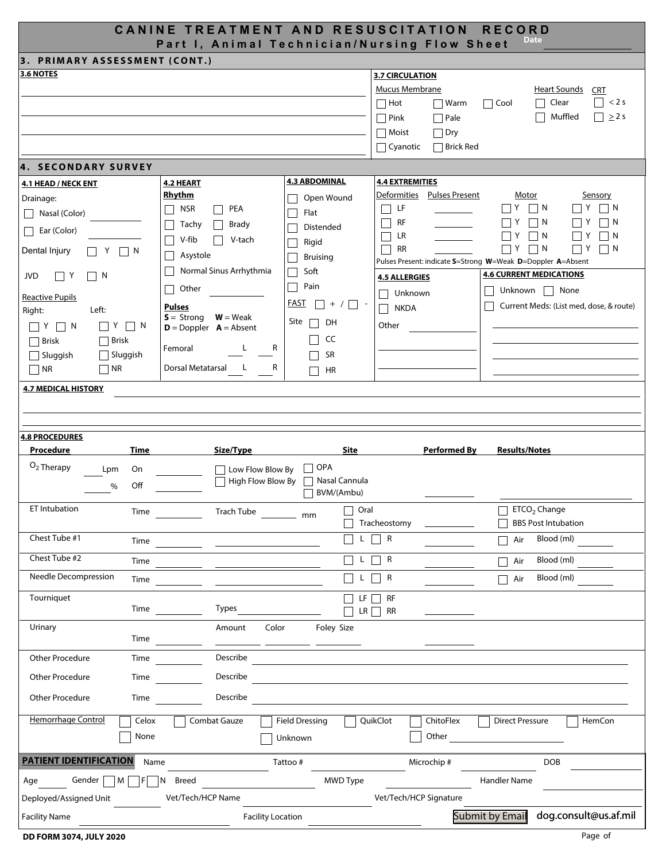| CANINE TREATMENT AND RESUSCITATION<br><b>RECORD</b><br>Date<br>Part I, Animal Technician/Nursing Flow Sheet                                                                     |                                                                                                                                                            |                                                                                                                                     |                                                                                                                      |                                                                                                                                                                                      |  |  |  |  |
|---------------------------------------------------------------------------------------------------------------------------------------------------------------------------------|------------------------------------------------------------------------------------------------------------------------------------------------------------|-------------------------------------------------------------------------------------------------------------------------------------|----------------------------------------------------------------------------------------------------------------------|--------------------------------------------------------------------------------------------------------------------------------------------------------------------------------------|--|--|--|--|
| 3. PRIMARY ASSESSMENT (CONT.)                                                                                                                                                   |                                                                                                                                                            |                                                                                                                                     |                                                                                                                      |                                                                                                                                                                                      |  |  |  |  |
| 3.6 NOTES                                                                                                                                                                       |                                                                                                                                                            | <b>3.7 CIRCULATION</b><br>Mucus Membrane<br>$\Box$ Hot<br>$\Box$ Warm<br>$\Box$ Pink<br>$\Box$ Pale<br><b>■</b> Moist<br>$\Box$ Dry | <b>Heart Sounds</b><br><b>CRT</b><br>$\Box$ < 2 s<br>$\Box$ Cool<br>Clear<br>$\Box$<br>Muffled<br>$\Box \geq 2$ s    |                                                                                                                                                                                      |  |  |  |  |
|                                                                                                                                                                                 |                                                                                                                                                            |                                                                                                                                     | $\Box$ Cyanotic<br>$\Box$ Brick Red                                                                                  |                                                                                                                                                                                      |  |  |  |  |
| 4. SECONDARY SURVEY                                                                                                                                                             |                                                                                                                                                            |                                                                                                                                     |                                                                                                                      |                                                                                                                                                                                      |  |  |  |  |
| 4.1 HEAD / NECK ENT<br>Drainage:                                                                                                                                                | 4.2 HEART<br><b>Rhythm</b>                                                                                                                                 | <b>4.3 ABDOMINAL</b><br>Open Wound                                                                                                  | <b>4.4 EXTREMITIES</b><br>Deformities Pulses Present                                                                 | Motor<br>Sensory                                                                                                                                                                     |  |  |  |  |
| Nasal (Color)                                                                                                                                                                   | <b>NSR</b><br>PEA<br>$\mathsf{L}$                                                                                                                          | Flat                                                                                                                                | □ LF                                                                                                                 | $\vert$   N<br>$\mathsf{I}$ Y<br>IY.<br>$\vert$ $\vert$ N                                                                                                                            |  |  |  |  |
| Ear (Color)<br>Dental Injury<br>$\vert$   N<br>Y                                                                                                                                | Tachy<br><b>Brady</b><br>$\mathsf{L}$<br>V-fib<br>V-tach<br>Asystole<br>$\Box$                                                                             | Distended<br>Rigid<br>Bruising                                                                                                      | RF<br>LR<br>RR                                                                                                       | Y<br>$\vert$ $\vert$ N<br>N<br>Y<br>⊟ Y<br>    N<br>IN.<br>$\Box$ Y<br>  7Y<br>$\vert \ \vert N$<br>$\vert$ $\vert$ N<br>Pulses Present: indicate S=Strong W=Weak D=Doppler A=Absent |  |  |  |  |
| <b>JVD</b><br>$\Box$ Y<br>$ \top$ N                                                                                                                                             | Normal Sinus Arrhythmia                                                                                                                                    | Soft                                                                                                                                | <b>4.5 ALLERGIES</b>                                                                                                 | <b>4.6 CURRENT MEDICATIONS</b>                                                                                                                                                       |  |  |  |  |
| <b>Reactive Pupils</b><br>Left:<br>Right:<br>$\Box$ Y $\Box$ N<br>$\top$ Y<br>$\Box$ N<br>$\Box$ Brisk<br>$\Box$ Brisk<br>Sluggish<br>$\Box$ Sluggish<br>$\Box$ NR<br>$\Box$ NR | Other<br>$\mathsf{L}$<br><b>Pulses</b><br>$S =$ Strong $W =$ Weak<br>$D = Doppler$ $A = Absent$<br>Femoral<br>L<br>R<br>Dorsal Metatarsal<br><b>L</b><br>R | Pain<br>FAST<br>$\Box$ + / $\Box$ -<br>Site<br>DH<br>$\Box$<br>CC<br>SR<br>HR                                                       | Unknown<br><b>NKDA</b><br>$\Box$<br>Other                                                                            | Unknown $\Box$ None<br>Current Meds: (List med, dose, & route)                                                                                                                       |  |  |  |  |
| <b>4.7 MEDICAL HISTORY</b>                                                                                                                                                      |                                                                                                                                                            |                                                                                                                                     |                                                                                                                      |                                                                                                                                                                                      |  |  |  |  |
| <b>4.8 PROCEDURES</b>                                                                                                                                                           |                                                                                                                                                            |                                                                                                                                     |                                                                                                                      |                                                                                                                                                                                      |  |  |  |  |
| Procedure<br>Time                                                                                                                                                               | Size/Type                                                                                                                                                  | <b>Site</b>                                                                                                                         | <b>Performed By</b>                                                                                                  | <b>Results/Notes</b>                                                                                                                                                                 |  |  |  |  |
| $O2$ Therapy<br>Lpm<br>On<br>Off<br>%                                                                                                                                           | $\Box$ Low Flow Blow By<br>$\Box$ High Flow Blow By                                                                                                        | $\Box$ OPA<br>□ Nasal Cannula<br>BVM/(Ambu)                                                                                         |                                                                                                                      |                                                                                                                                                                                      |  |  |  |  |
| ET Intubation<br>Time                                                                                                                                                           | Trach Tube _________ mm                                                                                                                                    | Oral                                                                                                                                | Tracheostomy                                                                                                         | ETCO <sub>2</sub> Change<br><b>BBS Post Intubation</b>                                                                                                                               |  |  |  |  |
| Chest Tube #1                                                                                                                                                                   |                                                                                                                                                            | $\mathsf{L}$                                                                                                                        | $L \Box R$                                                                                                           | Blood (ml)<br>Air                                                                                                                                                                    |  |  |  |  |
| Chest Tube #2<br>Time                                                                                                                                                           |                                                                                                                                                            | $\mathsf{L}$                                                                                                                        | $\Box$ R                                                                                                             | Blood (ml)<br>Air                                                                                                                                                                    |  |  |  |  |
| <b>Needle Decompression</b><br>Time                                                                                                                                             |                                                                                                                                                            | $\Box$ L $\Box$ R                                                                                                                   |                                                                                                                      | Blood (ml)<br>$\Box$ Air                                                                                                                                                             |  |  |  |  |
| Tourniquet                                                                                                                                                                      | Types                                                                                                                                                      | $\Box$<br>$\Box$ LR $\Box$ RR                                                                                                       | $LF \Box RF$                                                                                                         |                                                                                                                                                                                      |  |  |  |  |
| Urinary                                                                                                                                                                         | Color<br>Amount<br>Time $\qquad \qquad \qquad$ $\qquad \qquad$<br>$\overline{\phantom{a}}$ and $\overline{\phantom{a}}$                                    | Foley Size                                                                                                                          |                                                                                                                      |                                                                                                                                                                                      |  |  |  |  |
| Other Procedure<br>Time                                                                                                                                                         | Describe                                                                                                                                                   |                                                                                                                                     |                                                                                                                      |                                                                                                                                                                                      |  |  |  |  |
| Other Procedure                                                                                                                                                                 | Describe<br><b>Time</b>                                                                                                                                    |                                                                                                                                     | <u> 1989 - Johann Stein, mars an deutscher Stein und der Stein und der Stein und der Stein und der Stein und der</u> |                                                                                                                                                                                      |  |  |  |  |
| Other Procedure<br><b>Time</b>                                                                                                                                                  | Describe                                                                                                                                                   |                                                                                                                                     |                                                                                                                      |                                                                                                                                                                                      |  |  |  |  |
| Hemorrhage Control<br>Celox<br>None                                                                                                                                             | Combat Gauze                                                                                                                                               | <b>Field Dressing</b><br>Unknown                                                                                                    | QuikClot<br>ChitoFlex                                                                                                | HemCon<br><b>Direct Pressure</b>                                                                                                                                                     |  |  |  |  |
| <b>PATIENT IDENTIFICATION</b><br>Name                                                                                                                                           |                                                                                                                                                            | Tattoo#                                                                                                                             | Microchip#                                                                                                           | <b>DOB</b>                                                                                                                                                                           |  |  |  |  |
| Gender $\Box$ M $\Box$<br>$F \Box N$<br>Age                                                                                                                                     | Breed                                                                                                                                                      | MWD Type                                                                                                                            |                                                                                                                      | Handler Name                                                                                                                                                                         |  |  |  |  |
| Deployed/Assigned Unit<br><b>Facility Name</b>                                                                                                                                  | Vet/Tech/HCP Name<br><b>Facility Location</b>                                                                                                              |                                                                                                                                     | Vet/Tech/HCP Signature                                                                                               | dog.consult@us.af.mil<br>Submit by Email                                                                                                                                             |  |  |  |  |
|                                                                                                                                                                                 |                                                                                                                                                            |                                                                                                                                     |                                                                                                                      |                                                                                                                                                                                      |  |  |  |  |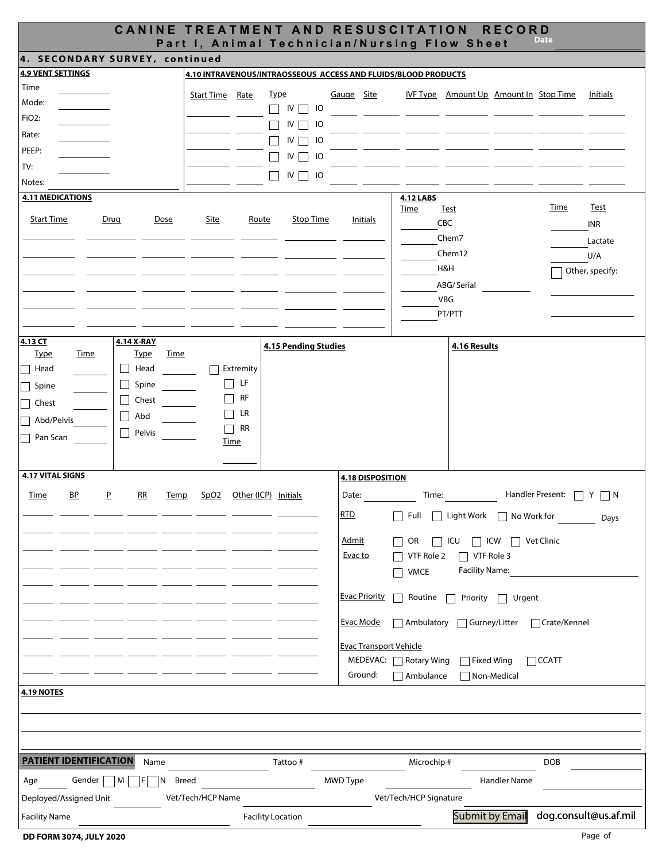|                                                                               | <b>CANINE TREATMENT AND RESUSCITATION</b><br><b>RECORD</b><br><b>Date</b><br>Part I, Animal Technician/Nursing Flow Sheet |  |  |  |  |  |  |  |
|-------------------------------------------------------------------------------|---------------------------------------------------------------------------------------------------------------------------|--|--|--|--|--|--|--|
| 4. SECONDARY SURVEY, continued                                                |                                                                                                                           |  |  |  |  |  |  |  |
| <b>4.9 VENT SETTINGS</b>                                                      | 4.10 INTRAVENOUS/INTRAOSSEOUS ACCESS AND FLUIDS/BLOOD PRODUCTS                                                            |  |  |  |  |  |  |  |
| Time<br><b>Type</b><br>Start Time Rate                                        | IVF Type Amount Up Amount In Stop Time<br>Gauge Site<br>Initials                                                          |  |  |  |  |  |  |  |
| Mode:                                                                         | $\Box$ IV $\Box$ IO                                                                                                       |  |  |  |  |  |  |  |
| FiO <sub>2</sub> :                                                            | $\Box$ IV $\Box$ IO                                                                                                       |  |  |  |  |  |  |  |
| Rate:                                                                         | $\Box$ IV $\Box$ IO                                                                                                       |  |  |  |  |  |  |  |
| PEEP:                                                                         | $\Box$ IV $\Box$ IO                                                                                                       |  |  |  |  |  |  |  |
| TV:                                                                           | $\Box$ IV $\Box$ IO                                                                                                       |  |  |  |  |  |  |  |
| Notes:                                                                        |                                                                                                                           |  |  |  |  |  |  |  |
| <b>4.11 MEDICATIONS</b>                                                       | <b>4.12 LABS</b><br><b>Time</b><br><u>Test</u><br>Time<br><u>Test</u>                                                     |  |  |  |  |  |  |  |
| <b>Start Time</b><br>Drug<br>Dose<br>Site<br>Route                            | <b>Stop Time</b><br>Initials<br>CBC<br><b>INR</b>                                                                         |  |  |  |  |  |  |  |
|                                                                               | Chem7<br>Lactate                                                                                                          |  |  |  |  |  |  |  |
|                                                                               | Chem12<br>U/A                                                                                                             |  |  |  |  |  |  |  |
|                                                                               | H&H<br>Other, specify:                                                                                                    |  |  |  |  |  |  |  |
|                                                                               | ABG/Serial                                                                                                                |  |  |  |  |  |  |  |
|                                                                               | VBG                                                                                                                       |  |  |  |  |  |  |  |
|                                                                               | PT/PTT                                                                                                                    |  |  |  |  |  |  |  |
|                                                                               |                                                                                                                           |  |  |  |  |  |  |  |
| 4.13 CT<br>4.14 X-RAY<br><b>Type</b><br>Time<br><u>Type</u><br>Time           | <b>4.15 Pending Studies</b><br>4.16 Results                                                                               |  |  |  |  |  |  |  |
| Head<br>$\Box$ Head<br>Extremity<br>$\mathbf{I}$                              |                                                                                                                           |  |  |  |  |  |  |  |
| $\Box$ LF<br>Spine<br>Spine                                                   |                                                                                                                           |  |  |  |  |  |  |  |
| RF<br>Chest<br>$\mathsf{L}$<br>Chest                                          |                                                                                                                           |  |  |  |  |  |  |  |
| LR<br>$\blacksquare$<br>Abd<br>$\mathsf{L}$<br>Abd/Pelvis                     |                                                                                                                           |  |  |  |  |  |  |  |
| RR<br>Pelvis<br>$\blacksquare$                                                |                                                                                                                           |  |  |  |  |  |  |  |
| Pan Scan<br><u>Time</u>                                                       |                                                                                                                           |  |  |  |  |  |  |  |
|                                                                               |                                                                                                                           |  |  |  |  |  |  |  |
| <b>4.17 VITAL SIGNS</b>                                                       | <b>4.18 DISPOSITION</b>                                                                                                   |  |  |  |  |  |  |  |
| B <sub>P</sub><br>Time<br>P<br>RR<br>SpO2 Other (ICP) Initials<br><b>Temp</b> | Date:<br>Time:<br>Handler Present: □ Y □ N                                                                                |  |  |  |  |  |  |  |
|                                                                               | <u>RTD</u><br>Full Light Work No Work for<br>Days                                                                         |  |  |  |  |  |  |  |
|                                                                               |                                                                                                                           |  |  |  |  |  |  |  |
|                                                                               | <b>Admit</b><br>$\Box$ ICW<br>$\Box$ Vet Clinic<br>OR<br>ICU                                                              |  |  |  |  |  |  |  |
|                                                                               | Evac to<br>VTF Role 2<br>$\Box$ VTF Role 3<br><b>Facility Name:</b>                                                       |  |  |  |  |  |  |  |
|                                                                               | <b>VMCE</b><br>┓                                                                                                          |  |  |  |  |  |  |  |
|                                                                               | <b>Evac Priority</b><br>Routine<br>$\blacksquare$<br>Priority<br>Urgent                                                   |  |  |  |  |  |  |  |
|                                                                               | <b>Evac Mode</b><br>Ambulatory<br>Gurney/Litter<br>□ Crate/Kennel                                                         |  |  |  |  |  |  |  |
|                                                                               | <b>Evac Transport Vehicle</b>                                                                                             |  |  |  |  |  |  |  |
|                                                                               | MEDEVAC:<br>Rotary Wing<br>$\Box$ Fixed Wing<br>$\Box$ CCATT                                                              |  |  |  |  |  |  |  |
|                                                                               | Ground:<br>$\sqcap$ Ambulance<br>Non-Medical                                                                              |  |  |  |  |  |  |  |
| <b>4.19 NOTES</b>                                                             |                                                                                                                           |  |  |  |  |  |  |  |
|                                                                               |                                                                                                                           |  |  |  |  |  |  |  |
|                                                                               |                                                                                                                           |  |  |  |  |  |  |  |
|                                                                               |                                                                                                                           |  |  |  |  |  |  |  |
| <b>PATIENT IDENTIFICATION</b><br>Name                                         | Tattoo#<br>Microchip#<br><b>DOB</b>                                                                                       |  |  |  |  |  |  |  |
| Breed<br>Gender<br>м<br>Age<br>N                                              | MWD Type<br><b>Handler Name</b>                                                                                           |  |  |  |  |  |  |  |
| Vet/Tech/HCP Name<br>Deployed/Assigned Unit                                   | Vet/Tech/HCP Signature                                                                                                    |  |  |  |  |  |  |  |
|                                                                               | Submit by Email<br>dog.consult@us.af.mil                                                                                  |  |  |  |  |  |  |  |
| <b>Facility Name</b><br><b>Facility Location</b>                              |                                                                                                                           |  |  |  |  |  |  |  |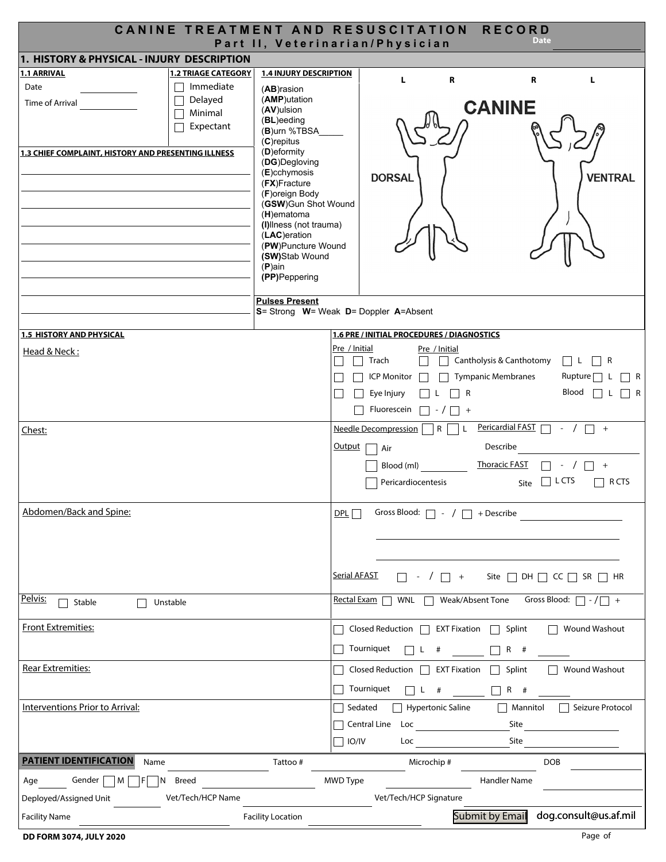|                                                                               | CANINE TREATMENT AND RESUSCITATION RECORD |                                                                |                     |                                                    |                           |                             | <b>Date</b>         |                            |
|-------------------------------------------------------------------------------|-------------------------------------------|----------------------------------------------------------------|---------------------|----------------------------------------------------|---------------------------|-----------------------------|---------------------|----------------------------|
| Part II, Veterinarian/Physician<br>1. HISTORY & PHYSICAL - INJURY DESCRIPTION |                                           |                                                                |                     |                                                    |                           |                             |                     |                            |
| 1.1 ARRIVAL                                                                   | <b>1.2 TRIAGE CATEGORY</b>                | <b>1.4 INJURY DESCRIPTION</b>                                  |                     |                                                    |                           |                             |                     |                            |
| Date                                                                          | Immediate                                 | (AB)rasion                                                     |                     | L                                                  | R                         |                             | R                   | L                          |
| Time of Arrival                                                               | Delayed                                   | (AMP)utation                                                   |                     |                                                    |                           |                             |                     |                            |
|                                                                               | Minimal                                   | (AV)ulsion                                                     |                     |                                                    |                           | <b>CANINE</b>               |                     |                            |
|                                                                               | Expectant                                 | $(BL)$ eeding                                                  |                     |                                                    |                           |                             |                     |                            |
|                                                                               |                                           | (B)urn %TBSA                                                   |                     |                                                    |                           |                             |                     |                            |
|                                                                               |                                           | $(C)$ repitus<br>(D)eformity                                   |                     |                                                    |                           |                             |                     |                            |
| 1.3 CHIEF COMPLAINT, HISTORY AND PRESENTING ILLNESS                           |                                           | (DG)Degloving                                                  |                     |                                                    |                           |                             |                     |                            |
|                                                                               |                                           | $(E)$ cchymosis                                                |                     | <b>DORSAL</b>                                      |                           |                             |                     | <b>VENTRAL</b>             |
|                                                                               |                                           | (FX)Fracture                                                   |                     |                                                    |                           |                             |                     |                            |
|                                                                               |                                           | (F)oreign Body                                                 |                     |                                                    |                           |                             |                     |                            |
|                                                                               |                                           | (GSW)Gun Shot Wound<br>$(H)$ ematoma                           |                     |                                                    |                           |                             |                     |                            |
|                                                                               |                                           | (I)llness (not trauma)                                         |                     |                                                    |                           |                             |                     |                            |
|                                                                               |                                           | (LAC)eration                                                   |                     |                                                    |                           |                             |                     |                            |
|                                                                               |                                           | (PW)Puncture Wound                                             |                     |                                                    |                           |                             |                     |                            |
|                                                                               |                                           | (SW)Stab Wound                                                 |                     |                                                    |                           |                             |                     |                            |
|                                                                               |                                           | $(P)$ ain<br>(PP)Peppering                                     |                     |                                                    |                           |                             |                     |                            |
|                                                                               |                                           |                                                                |                     |                                                    |                           |                             |                     |                            |
|                                                                               |                                           | <b>Pulses Present</b><br>S= Strong W= Weak D= Doppler A=Absent |                     |                                                    |                           |                             |                     |                            |
|                                                                               |                                           |                                                                |                     |                                                    |                           |                             |                     |                            |
| <b>1.5 HISTORY AND PHYSICAL</b>                                               |                                           |                                                                |                     | 1.6 PRE / INITIAL PROCEDURES / DIAGNOSTICS         |                           |                             |                     |                            |
| Head & Neck:                                                                  |                                           |                                                                | Pre / Initial       |                                                    | Pre / Initial             |                             |                     |                            |
|                                                                               |                                           |                                                                |                     | Trach                                              |                           | Cantholysis & Canthotomy    |                     | $ L $ $ R$                 |
|                                                                               |                                           |                                                                |                     | <b>ICP Monitor</b>                                 |                           | <b>Tympanic Membranes</b>   |                     | Rupture [<br>∣R            |
|                                                                               |                                           |                                                                |                     | Eye Injury                                         | 1 R                       |                             |                     | Blood<br>$\vert$ $\vert$ R |
|                                                                               |                                           |                                                                |                     |                                                    |                           |                             |                     |                            |
|                                                                               |                                           |                                                                |                     | Fluorescein                                        | $\Box$<br>$\vert - \vert$ |                             |                     |                            |
| Chest:                                                                        |                                           |                                                                |                     | <b>Needle Decompression</b>                        | $\mathsf{R}$              | Pericardial FAST $\Box$ - / |                     | $\Box$ +                   |
|                                                                               |                                           |                                                                | <b>Output</b>       | Air                                                |                           | Describe                    |                     |                            |
|                                                                               |                                           |                                                                |                     | Blood (ml)                                         |                           | <b>Thoracic FAST</b>        |                     | $+$                        |
|                                                                               |                                           |                                                                |                     | Pericardiocentesis                                 |                           | Site                        | $\vert \vert$ L CTS | $\Box$ RCTS                |
|                                                                               |                                           |                                                                |                     |                                                    |                           |                             |                     |                            |
| Abdomen/Back and Spine:                                                       |                                           |                                                                | DPL                 | Gross Blood: $\Box$ - / $\Box$ + Describe          |                           |                             |                     |                            |
|                                                                               |                                           |                                                                |                     |                                                    |                           |                             |                     |                            |
|                                                                               |                                           |                                                                |                     |                                                    |                           |                             |                     |                            |
|                                                                               |                                           |                                                                |                     |                                                    |                           |                             |                     |                            |
|                                                                               |                                           |                                                                |                     |                                                    |                           |                             |                     |                            |
|                                                                               |                                           |                                                                | <b>Serial AFAST</b> |                                                    | $+$                       | Site $\Box$ DH $\Box$       | $CC$                | SR<br>I HR                 |
| Pelvis:                                                                       |                                           |                                                                |                     |                                                    |                           |                             |                     |                            |
| Stable                                                                        | Unstable                                  |                                                                |                     | Rectal Exam<br>WNL $\Box$                          |                           | Weak/Absent Tone            | Gross Blood:        | $+$<br>$-1$                |
| <b>Front Extremities:</b>                                                     |                                           |                                                                | $\mathbf{I}$        | Closed Reduction $\Box$ EXT Fixation $\Box$ Splint |                           |                             |                     | <b>Wound Washout</b>       |
|                                                                               |                                           |                                                                |                     | Tourniquet                                         | #                         | $R$ #                       |                     |                            |
| <b>Rear Extremities:</b>                                                      |                                           |                                                                |                     | Closed Reduction $\Box$ EXT Fixation $\Box$        |                           | Splint                      |                     | <b>Wound Washout</b>       |
|                                                                               |                                           |                                                                |                     |                                                    |                           |                             |                     |                            |
|                                                                               |                                           |                                                                |                     | Tourniquet                                         |                           | $R$ #                       |                     |                            |
| Interventions Prior to Arrival:                                               |                                           |                                                                | $\Box$ Sedated      |                                                    | $\Box$ Hypertonic Saline  | $\Box$ Mannitol             |                     | Seizure Protocol           |
|                                                                               |                                           |                                                                |                     | Central Line Loc                                   |                           | Site                        |                     |                            |
|                                                                               |                                           |                                                                | IO/IV               | Loc                                                |                           | Site                        |                     |                            |
| <b>PATIENT IDENTIFICATION</b><br>Name                                         |                                           | Tattoo#                                                        |                     |                                                    | Microchip#                |                             | <b>DOB</b>          |                            |
| Gender   M<br>F<br>Age<br>IN                                                  | Breed                                     |                                                                | MWD Type            |                                                    |                           | Handler Name                |                     |                            |
| Deployed/Assigned Unit                                                        | Vet/Tech/HCP Name                         |                                                                |                     | Vet/Tech/HCP Signature                             |                           |                             |                     |                            |
| <b>Facility Name</b>                                                          |                                           | <b>Facility Location</b>                                       |                     |                                                    |                           | Submit by Email             |                     | dog.consult@us.af.mil      |
|                                                                               |                                           |                                                                |                     |                                                    |                           |                             |                     |                            |

DD FORM 3074, JULY 2020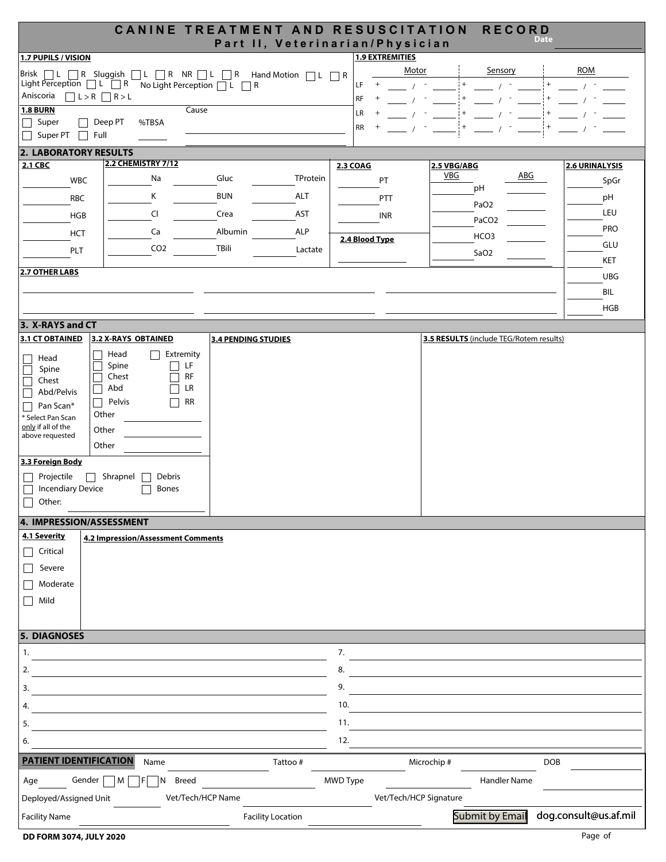|                                                                                              |                         |                                    |                                                       |            | CANINE TREATMENT AND RESUSCITATION                        | <b>RECORD</b>                           | <b>Date</b>    |
|----------------------------------------------------------------------------------------------|-------------------------|------------------------------------|-------------------------------------------------------|------------|-----------------------------------------------------------|-----------------------------------------|----------------|
| 1.7 PUPILS / VISION                                                                          |                         |                                    |                                                       |            | Part II, Veterinarian/Physician<br><b>1.9 EXTREMITIES</b> |                                         |                |
|                                                                                              |                         |                                    | Brisk □L □R Sluggish □L □R NR □L □R Hand Motion □L □R |            |                                                           | Motor<br>Sensory                        | <b>ROM</b>     |
| Light Perception $\Box$ L $\Box$ R                                                           |                         |                                    | No Light Perception $\Box L \Box R$                   |            | LF<br>$^{+}$                                              |                                         |                |
| Aniscoria                                                                                    | $\Box L > R \Box R > L$ |                                    |                                                       |            | RF<br>$^{+}$                                              |                                         |                |
| <b>1.8 BURN</b>                                                                              |                         |                                    | Cause                                                 |            | LR                                                        |                                         |                |
| Super<br>$\Box$<br>Super PT                                                                  | Deep PT<br>Full         | %TBSA                              |                                                       |            | RR                                                        |                                         |                |
| <b>2. LABORATORY RESULTS</b>                                                                 |                         |                                    |                                                       |            |                                                           |                                         |                |
| 2.1 CBC                                                                                      |                         | <b>2.2 CHEMISTRY 7/12</b>          |                                                       |            | <b>2.3 COAG</b>                                           | 2.5 VBG/ABG                             | 2.6 URINALYSIS |
| <b>WBC</b>                                                                                   |                         | Na                                 | Gluc                                                  | TProtein   | PT                                                        | VBG<br>ABC                              | SpGr           |
| <b>RBC</b>                                                                                   |                         | Κ                                  | <b>BUN</b>                                            | ALT        | PTT                                                       | pH                                      | pH             |
| <b>HGB</b>                                                                                   |                         | CI                                 | Crea                                                  | AST        | INR                                                       | PaO <sub>2</sub>                        | LEU            |
|                                                                                              |                         |                                    | Albumin                                               | <b>ALP</b> |                                                           | PaCO <sub>2</sub>                       | <b>PRO</b>     |
| HCT                                                                                          |                         | Ca                                 |                                                       |            | 2.4 Blood Type                                            | HCO <sub>3</sub>                        | GLU            |
| PLT                                                                                          |                         | CO <sub>2</sub>                    | TBili                                                 | Lactate    |                                                           | SaO <sub>2</sub>                        | KET            |
| 2.7 OTHER LABS                                                                               |                         |                                    |                                                       |            |                                                           |                                         | <b>UBG</b>     |
|                                                                                              |                         |                                    |                                                       |            |                                                           |                                         | BIL            |
|                                                                                              |                         |                                    |                                                       |            |                                                           |                                         | <b>HGB</b>     |
| 3. X-RAYS and CT                                                                             |                         |                                    |                                                       |            |                                                           |                                         |                |
| 3.1 CT OBTAINED                                                                              | 3.2 X-RAYS OBTAINED     |                                    | <b>3.4 PENDING STUDIES</b>                            |            |                                                           | 3.5 RESULTS (include TEG/Rotem results) |                |
|                                                                                              | Head                    | Extremity                          |                                                       |            |                                                           |                                         |                |
| Head<br>Spine                                                                                | Spine                   | LF                                 |                                                       |            |                                                           |                                         |                |
| Chest                                                                                        | Chest                   | <b>RF</b>                          |                                                       |            |                                                           |                                         |                |
| Abd/Pelvis                                                                                   | Abd<br>Pelvis           | LR<br><b>RR</b>                    |                                                       |            |                                                           |                                         |                |
| Pan Scan*<br>* Select Pan Scan                                                               | Other                   |                                    |                                                       |            |                                                           |                                         |                |
| only if all of the                                                                           | Other                   |                                    |                                                       |            |                                                           |                                         |                |
| above requested                                                                              | Other                   |                                    |                                                       |            |                                                           |                                         |                |
| 3.3 Foreign Body                                                                             |                         |                                    |                                                       |            |                                                           |                                         |                |
| Projectile                                                                                   | Shrapnel                | Debris                             |                                                       |            |                                                           |                                         |                |
| <b>Incendiary Device</b>                                                                     |                         | <b>Bones</b>                       |                                                       |            |                                                           |                                         |                |
| Other:<br>$\Box$                                                                             |                         |                                    |                                                       |            |                                                           |                                         |                |
| 4. IMPRESSION/ASSESSMENT                                                                     |                         |                                    |                                                       |            |                                                           |                                         |                |
| 4.1 Severity                                                                                 |                         | 4.2 Impression/Assessment Comments |                                                       |            |                                                           |                                         |                |
| Critical<br>$\overline{\phantom{a}}$                                                         |                         |                                    |                                                       |            |                                                           |                                         |                |
| Severe                                                                                       |                         |                                    |                                                       |            |                                                           |                                         |                |
| Moderate                                                                                     |                         |                                    |                                                       |            |                                                           |                                         |                |
| Mild<br>$\Box$                                                                               |                         |                                    |                                                       |            |                                                           |                                         |                |
|                                                                                              |                         |                                    |                                                       |            |                                                           |                                         |                |
| <b>5. DIAGNOSES</b>                                                                          |                         |                                    |                                                       |            |                                                           |                                         |                |
| 1.                                                                                           |                         |                                    |                                                       |            | 7.                                                        |                                         |                |
| 2.                                                                                           |                         |                                    |                                                       |            | 8.                                                        |                                         |                |
|                                                                                              |                         |                                    |                                                       |            |                                                           |                                         |                |
| 3.                                                                                           |                         |                                    |                                                       |            | 9.                                                        |                                         |                |
| 4.                                                                                           |                         |                                    |                                                       |            | 10.                                                       |                                         |                |
| 5.                                                                                           |                         |                                    |                                                       |            | 11.                                                       |                                         |                |
| 6.                                                                                           |                         |                                    |                                                       |            | 12.                                                       |                                         |                |
| <b>PATIENT IDENTIFICATION</b>                                                                |                         | Name                               |                                                       | Tattoo#    |                                                           | Microchip#                              | <b>DOB</b>     |
|                                                                                              | M                       | IN.<br>F                           |                                                       |            |                                                           | Handler Name                            |                |
| Gender<br>MWD Type<br>Breed<br>Age<br>Vet/Tech/HCP Signature                                 |                         |                                    |                                                       |            |                                                           |                                         |                |
| Deployed/Assigned Unit                                                                       |                         |                                    | Vet/Tech/HCP Name                                     |            |                                                           |                                         |                |
| Submit by Email<br>dog.consult@us.af.mil<br><b>Facility Name</b><br><b>Facility Location</b> |                         |                                    |                                                       |            |                                                           |                                         |                |